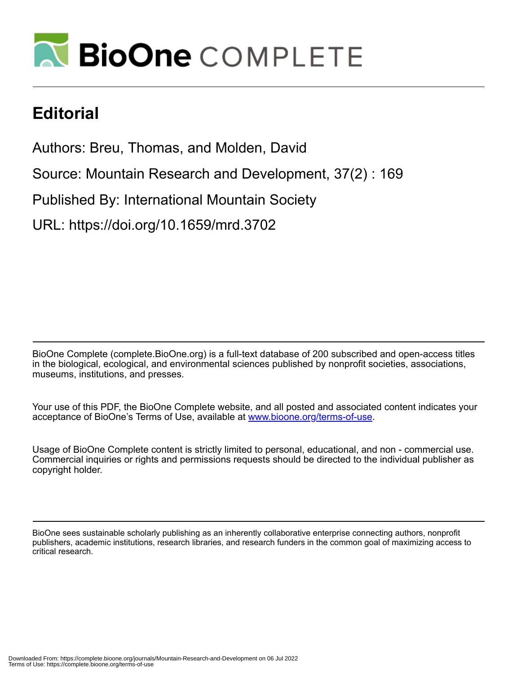

## **Editorial**

Authors: Breu, Thomas, and Molden, David

Source: Mountain Research and Development, 37(2) : 169

Published By: International Mountain Society

URL: https://doi.org/10.1659/mrd.3702

BioOne Complete (complete.BioOne.org) is a full-text database of 200 subscribed and open-access titles in the biological, ecological, and environmental sciences published by nonprofit societies, associations, museums, institutions, and presses.

Your use of this PDF, the BioOne Complete website, and all posted and associated content indicates your acceptance of BioOne's Terms of Use, available at www.bioone.org/terms-of-use.

Usage of BioOne Complete content is strictly limited to personal, educational, and non - commercial use. Commercial inquiries or rights and permissions requests should be directed to the individual publisher as copyright holder.

BioOne sees sustainable scholarly publishing as an inherently collaborative enterprise connecting authors, nonprofit publishers, academic institutions, research libraries, and research funders in the common goal of maximizing access to critical research.